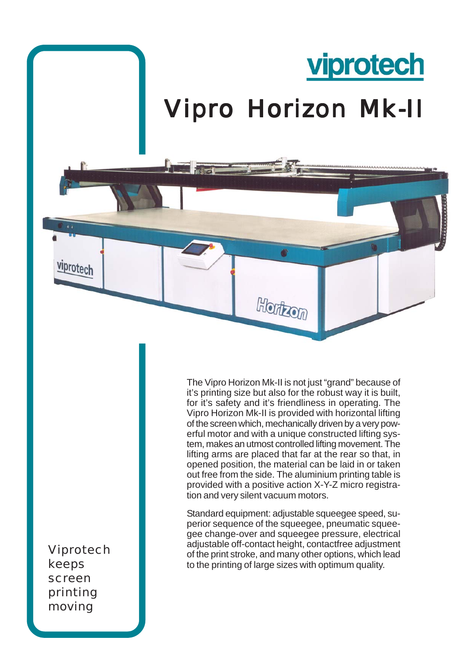

The Vipro Horizon Mk-II is not just "grand" because of it's printing size but also for the robust way it is built, for it's safety and it's friendliness in operating. The Vipro Horizon Mk-II is provided with horizontal lifting of the screen which, mechanically driven by a very powerful motor and with a unique constructed lifting system, makes an utmost controlled lifting movement. The lifting arms are placed that far at the rear so that, in opened position, the material can be laid in or taken out free from the side. The aluminium printing table is provided with a positive action X-Y-Z micro registration and very silent vacuum motors.

Standard equipment: adjustable squeegee speed, superior sequence of the squeegee, pneumatic squeegee change-over and squeegee pressure, electrical adjustable off-contact height, contactfree adjustment of the print stroke, and many other options, which lead to the printing of large sizes with optimum quality.

Viprotech keeps screen printing moving